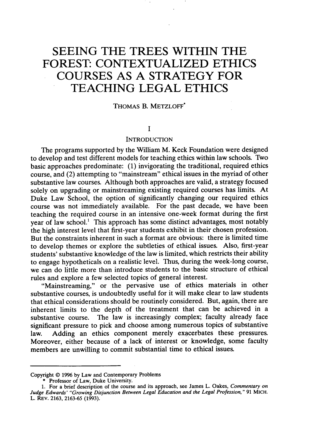# **SEEING THE TREES WITHIN THE FOREST: CONTEXTUALIZED ETHICS COURSES AS A STRATEGY FOR TEACHING LEGAL ETHICS**

#### THOMAS B. METZLOFF\*

## $\mathbf{I}$

### INTRODUCTION

The programs supported by the William M. Keck Foundation were designed to develop and test different models for teaching ethics within law schools. Two basic approaches predominate: (1) invigorating the traditional, required ethics course, and (2) attempting to "mainstream" ethical issues in the myriad of other substantive law courses. Although both approaches are valid, a strategy focused solely on upgrading or mainstreaming existing required courses has limits. At Duke Law School, the option of significantly changing our required ethics course was not immediately available. For the past decade, we have been teaching the required course in an intensive one-week format during the first year of law school.<sup>1</sup> This approach has some distinct advantages, most notably the high interest level that first-year students exhibit in their chosen profession. But the constraints inherent in such a format are obvious: there is limited time to develop themes or explore the subtleties of ethical issues. Also, first-year students' substantive knowledge of the law is limited, which restricts their ability to engage hypotheticals on a realistic level. Thus, during the week-long course, we can do little more than introduce students to the basic structure of ethical rules and explore a few selected topics of general interest.

"Mainstreaming," or the pervasive use of ethics materials in other substantive courses, is undoubtedly useful for it will make clear to law students that ethical considerations should be routinely considered. But, again, there are inherent limits to the depth of the treatment that can be achieved in a substantive course. The law is increasingly complex; faculty already face significant pressure to pick and choose among numerous topics of substantive law. Adding an ethics component merely exacerbates these pressures. Moreover, either because of a lack of interest or knowledge, some faculty members are unwilling to commit substantial time to ethical issues.

Copyright © 1996 by Law and Contemporary Problems

**<sup>\*</sup>** Professor of Law, Duke University.

<sup>1.</sup> For a brief description of the course and its approach, see James L. Oakes, Commentary on Judge Edwards' *"Growing Disjunction Between Legal Education and the Legal Profession,"* 91 MICH. L. REV. 2163, 2163-65 (1993).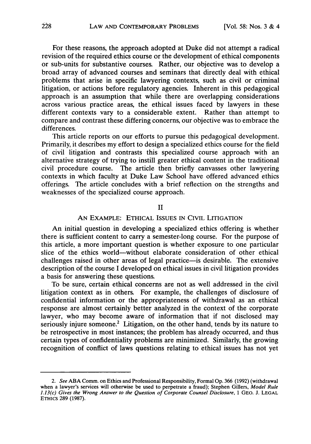For these reasons, the approach adopted at Duke did not attempt a radical revision of the required ethics course or the development of ethical components or sub-units for substantive courses. Rather, our objective was to develop a broad array of advanced courses and seminars that directly deal with ethical problems that arise in specific lawyering contexts, such as civil or criminal litigation, or actions before regulatory agencies. Inherent in this pedagogical approach is an assumption that while there are overlapping considerations across various practice areas, the ethical issues faced by lawyers in these different contexts vary to a considerable extent. Rather than attempt to compare and contrast these differing concerns, our objective was to embrace the differences.

This article reports on our efforts to pursue this pedagogical development. Primarily, it describes my effort to design a specialized ethics course for the field of civil litigation and contrasts this specialized course approach with an alternative strategy of trying to instill greater ethical content in the traditional civil procedure course. The article then briefly canvasses other lawyering contexts in which faculty at Duke Law School have offered advanced ethics offerings. The article concludes with a brief reflection on the strengths and weaknesses of the specialized course approach.

## II

# AN EXAMPLE: ETHICAL ISSUES IN CIVIL LITIGATION

An initial question in developing a specialized ethics offering is whether there is sufficient content to carry a semester-long course. For the purpose of this article, a more important question is whether exposure to one particular slice of the ethics world-without elaborate consideration of other ethical challenges raised in other areas of legal practice-is desirable. The extensive description of the course I developed on ethical issues in civil litigation provides a basis for answering these questions.

To be sure, certain ethical concerns are not as well addressed in the civil litigation context as in others. For example, the challenges of disclosure of confidential information or the appropriateness of withdrawal as an ethical response are almost certainly better analyzed in the context of the corporate lawyer, who may become aware of information that if not disclosed may seriously injure someone.<sup>2</sup> Litigation, on the other hand, tends by its nature to be retrospective in most instances; the problem has already occurred, and thus certain types of confidentiality problems are minimized. Similarly, the growing recognition of conflict of laws questions relating to ethical issues has not yet

*<sup>2.</sup>* See ABA Comm. on Ethics and Professional Responsibility, Formal Op. 366 (1992) (withdrawal when a lawyer's services will otherwise be used to perpetrate a fraud); Stephen Gillers, Model Rule 1.13(c) Gives the Wrong Answer to the Question of Corporate Counsel Disclosure, 1 GEO. J. LEGAL ETHics 289 (1987).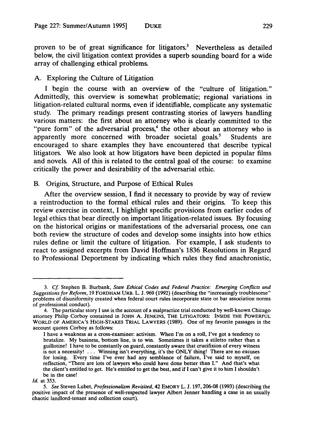proven to be of great significance for litigators.<sup>3</sup> Nevertheless as detailed below, the civil litigation context provides a superb sounding board for a wide array of challenging ethical problems.

#### **A.** Exploring the Culture of Litigation

I begin the course with an overview of the "culture of litigation." Admittedly, this overview is somewhat problematic; regional variations in litigation-related cultural norms, even if identifiable, complicate any systematic study. The primary readings present contrasting stories of lawyers handling various matters: the first about an attorney who is clearly committed to the "pure form" of the adversarial process,<sup>4</sup> the other about an attorney who is apparently more concerned with broader societal goals.' Students are encouraged to share examples they have encountered that describe typical litigators. We also look at how litigators have been depicted in popular films and novels. **All** of this is related to the central goal of the course: to examine critically the power and desirability of the adversarial ethic.

#### B. Origins, Structure, and Purpose of Ethical Rules

After the overview session, I find it necessary to provide **by** way of review a reintroduction to the formal ethical rules and their origins. To keep this review exercise in context, I highlight specific provisions from earlier codes of legal ethics that bear directly on important litigation-related issues. **By** focusing on the historical origins or manifestations of the adversarial process, one can both review the structure of codes and develop some insights into how ethics rules define or limit the culture of litigation. For example, I ask students to react to assigned excerpts from David Hoffman's **1836** Resolutions in Regard to Professional Deportment **by** indicating which rules they find anachronistic,

<sup>3.</sup> *Cf.* Stephen B. Burbank, *State Ethical Codes and Federal Practice: Emerging Conflicts and Suggestions for Reform,* 19 FORDHAM URB. L. J. 969 (1992) (describing the "increasingly troublesome" problems of disuniformity created when federal court rules incorporate state or bar association norms of professional conduct).

<sup>4.</sup> The particular story **I** use is the account of a malpractice trial conducted **by** well-known Chicago attorney Philip Corboy contained in **JOHN** A. **JENKINS,** THE LITIGATORS: INSIDE THE POWERFUL WORLD OF AMERICA'S HIGH-STAKES TRIAL LAWYERS (1989). One of my favorite passages in the account quotes Corboy as follows:

I have a weakness as a cross-examiner: activism. When I'm on a roll, I've got a tendency to brutalize. **My** business, bottom line, is to win. Sometimes it takes a stiletto rather than a guillotine! I have to be constantly on guard, constantly aware that crucifixion of every witness is not a necessity! ... Winning isn't everything, it's the ONLY thing! There are no excuses for losing. Every time I've ever had any semblance of failure, I've said to myself, on reflection, "There are lots of lawyers who could have done better than **I."** And that's what the client's entitled to get. He's entitled to get the best, and if I can't give it to him **I** shouldn't be in the case!

*Id.* at 353.

*<sup>5.</sup> See* Steven Lubet, *Professionalism Revisited,* 42 EMORY L. J. 197, 206-08 **(1993)** (describing the positive impact of the presence of well-respected lawyer Albert Jenner handling a case in an usually chaotic landlord-tenant and collection court).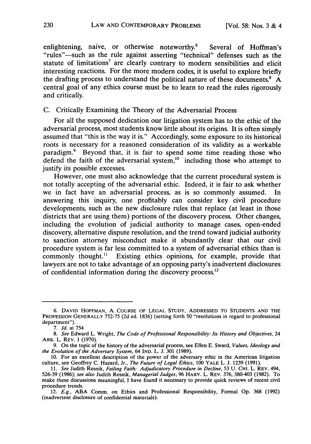enlightening, naive, or otherwise noteworthy.<sup>6</sup> Several of Hoffman's "rules"-such as the rule against asserting "technical" defenses such as the statute of limitations<sup>7</sup> are clearly contrary to modern sensibilities and elicit interesting reactions. For the more modern codes, it is useful to explore briefly the drafting process to understand the political nature of these documents.<sup>8</sup> A central goal of any ethics course must be to learn to read the rules rigorously and critically.

# C. Critically Examining the Theory of the Adversarial Process

For all the supposed dedication our litigation system has to the ethic of the adversarial process, most students know little about its origins. It is often simply assumed that "this is the way it is." Accordingly, some exposure to its historical roots is necessary for a reasoned consideration of its validity as a workable paradigm.9 Beyond that, it is fair to spend some time reading those who defend the faith of the adversarial system,<sup>10</sup> including those who attempt to justify its possible excesses.

However, one must also acknowledge that the current procedural system is not totally accepting of the adversarial ethic. Indeed, it is fair to ask whether we in fact have an adversarial process, as is so commonly assumed. In answering this inquiry, one profitably can consider key civil procedure developments, such as the new disclosure rules that replace (at least in those districts that are using them) portions of the discovery process. Other changes, including the evolution of judicial authority to manage cases, open-ended discovery, alternative dispute resolution, and the trend toward judicial authority to sanction attorney misconduct make it abundantly clear that our civil procedure system is far less committed to. a system of adversarial ethics than is commonly thought.<sup>11</sup> Existing ethics opinions, for example, provide that lawyers are not to take advantage of an opposing party's inadvertent disclosures of confidential information during the discovery process.12

<sup>6.</sup> **DAVID HOFFMAN, A COURSE** OF **LEGAL STUDY, ADDRESSED** TO **STUDENTS AND** THE **PROFESSION GENERALLY** 752-75 (2d ed. 1836) (setting forth 50 "resolutions in regard to professional department").

*<sup>7.</sup> Id.* at 754

*<sup>8.</sup> See* Edward L. Wright, *The Code of Professional Responsibility: Its History and Objectives,* 24 ARK. L. REV. 1 (1970).

<sup>9.</sup> On the topic of the history of the adversarial process, see Ellen E. Sward, *Values, Ideology and the Evolution of the Adversary System,* 64 IND. L. **J.** 301 (1989).

<sup>10.</sup> For an excellent description of the power of the adversary ethic in the American litigation culture, see Geoffrey C. Hazard, Jr., *The Future of Legal Ethics,* 100 YALE L. J. 1239 (1991).

**<sup>11.</sup>** *See* Judith Resnik, *Failing Faith: Adjudicatory Procedure in Decline,* **53** U. **CHI.** L. REV. 494, 526-39 (1986); *see also* Judith Resnik, *Managerial Judges,* 96 HARV. L. REV. 376, 380-403 (1982). To make these discussions meaningful, I have found it necessary to provide quick reviews of recent civil procedure trends.

<sup>12.</sup> *E.g.,* ABA Comm. on Ethics and Professional Responsibility, Formal Op. 368 (1992) (inadvertent disclosure of confidential materials).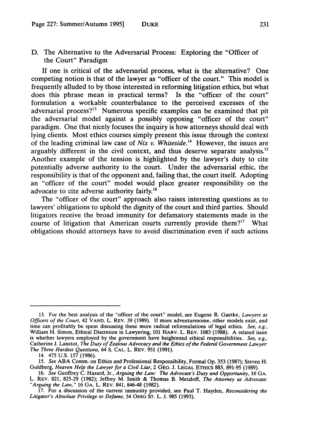D. The Alternative to the Adversarial Process: Exploring the "Officer of the Court" Paradigm

If one is critical of the adversarial process, what is the alternative? One competing notion is that of the lawyer as "officer of the court." This model is frequently alluded to by those interested in reforming litigation ethics, but what does this phrase mean in practical terms? Is the "officer of the court" formulation a workable counterbalance to the perceived excesses of the adversarial process? $13$  Numerous specific examples can be examined that pit the adversarial model against a possibly opposing "officer of the court" paradigm. One that nicely focuses the inquiry is how attorneys should deal with lying clients. Most ethics courses simply present this issue through the context of the leading criminal law case of *Nix v. Whiteside.4* However, the issues are arguably different in the civil context, and thus deserve separate analysis.<sup>15</sup> Another example of the tension is highlighted by the lawyer's duty to cite potentially adverse authority to the court. Under the adversarial ethic, the responsibility is that of the opponent and, failing that, the court itself. Adopting an "officer of the court" model would place greater responsibility on the advocate to cite adverse authority fairly.<sup>16</sup>

The "officer of the court" approach also raises interesting questions as to lawyers' obligations to uphold the dignity of the court and third parties. Should litigators receive the broad immunity for defamatory statements made in the course of litigation that American courts currently provide them?<sup>17</sup> What obligations should attorneys have to avoid discrimination even if such actions

<sup>13.</sup> For the best analysis of the "officer of the court" model, see Eugene R. Gaetke, *Lawyers as Officers of the* Court, 42 VAND. L. REV. 39 (1989). If more adventuresome, other models exist, and time can profitably be spent discussing these more radical reformulations of legal ethics. *See, e.g.,* William H. Simon, Ethical Discretion in Lawyering, 101 HARV. L. REV. 1083 (1988). A related issue is whether lawyers employed by the government have heightened ethical responsibilities. *See, e.g.,* Catherine J. Lanctot, *The Duty of Zealous Advocacy and the Ethics of the Federal Government Lawyer: The Three Hardest Questions,* 64 S. CAL. L. REV. **951** (1991).

<sup>14. 475</sup> U.S. 157 (1986).

*<sup>15.</sup> See* ABA Comm. on Ethics and Professional Responsibility, Formal Op. 353 (1987); Steven H. Goldberg, *Heaven Help the Lawyer for a Civil Liar,* 2 GEO. J. LEGAL ETHICS 885, 891-95 (1989).

<sup>16.</sup> *See* Geoffrey C. Hazard, Jr., *Arguing the Law: The Advocate's Duty and Opportunity,* 16 GA. L. REV. 821, 825-29 (1982); Jeffrey M. Smith & Thomas B. Metzloff, *The Attorney as Advocate:* "Arguing the *Law,"* 16 GA. L. REV. 841, 846-48 (1982).

<sup>17.</sup> For a discussion of the current immunity provided, see Paul T. Hayden, *Reconsidering the Litigator's Absolute Privilege to Defame,* 54 OHIO ST. L. J. 985 (1993).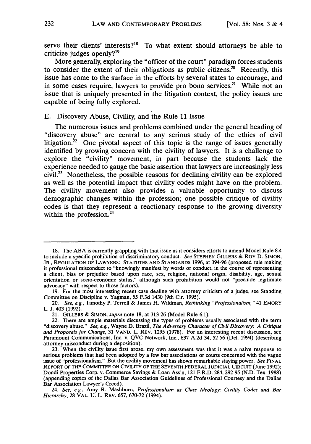serve their clients' interests?<sup>18</sup> To what extent should attorneys be able to criticize judges openly?19

More generally, exploring the "officer of the court" paradigm forces students to consider the extent of their obligations as public citizens.<sup>20</sup> Recently, this issue has come to the surface in the efforts by several states to encourage, and in some cases require, lawyers to provide pro bono services.<sup>21</sup> While not an issue that is uniquely presented in the litigation context, the policy issues are capable of being fully explored.

E. Discovery Abuse, Civility, and the Rule 11 Issue

The numerous issues and problems combined under the general heading of "discovery abuse" are central to any serious study of the ethics of civil litigation.<sup>22</sup> One pivotal aspect of this topic is the range of issues generally identified by growing concern with the civility of lawyers. It is a challenge to explore the "civility" movement, in part because the students lack the experience needed to gauge the basic assertion that lawyers are increasingly less civil.23 Nonetheless, the possible reasons for declining civility can be explored as well as the potential impact that civility codes might have on the problem. The civility movement also provides a valuable opportunity to discuss demographic changes within the profession; one possible critique of civility codes is that they represent a reactionary response to the growing diversity within the profession.<sup>24</sup>

<sup>18.</sup> The ABA is currently grappling with that issue as it considers efforts to amend Model Rule 8.4 to include a specific prohibition of discriminatory conduct. *See* STEPHEN GILLERS & ROY **D. SIMON,** JR., **REGULATION** OF LAWYERS: **STATUTES AND STANDARDS** 1996, at 394-96 (proposed rule making it professional misconduct to "knowingly manifest by words or conduct, in the course of representing a client, bias or prejudice based upon race, sex, religion, national origin, disability, age, sexual orientation or socio-economic status," although such prohibition would not "preclude legitimate advocacy" with respect to those factors).

<sup>19.</sup> For the most interesting recent case dealing with attorney criticism of a judge, see Standing Committee on Discipline v. Yagman, 55 F.3d 1430 (9th Cir. 1995).

<sup>20.</sup> *See, e.g.,* Timothy P. Terrell & James H. Wildman, *Rethinking "Professionalism, "* 41 EMORY L. J. 403 (1992).

<sup>21.</sup> GILLERS & SIMON, *supra* note 18, at 313-26 (Model Rule 6.1).

<sup>22.</sup> There are ample materials discussing the types of problems usually associated with the term "discovery abuse." *See, e.g.,* Wayne D. Brazil, *The Adversary Character of Civil Discovery: A Critique and Proposals for Change,* 31 VAND. L. REV. 1295 (1978). For an interesting recent discussion, see Paramount Communications, Inc. v. QVC Network, Inc., 637 A.2d 34, 52-56 (Del. 1994) (describing attorney misconduct during a deposition).

<sup>23.</sup> When the civility issue first arose, my own assessment was that it was a naive response to serious problems that had been adopted by a few bar associations or courts concerned with the vague issue of "professionalism." But the civility movement has shown remarkable staying power. *See* FINAL REPORT OF THE COMMITrEE ON CIVILITY OF **THE** SEVENTH FEDERAL **JUDICIAL** CIRCUIT (June 1992); Dondi Properties Corp. v. Commerce Savings & Loan Ass'n, 121 F.R.D. 284, 292-95 (N.D. Tex. 1988) (appending copies of the Dallas Bar Association Guidelines of Professional Courtesy and the Dallas Bar Association Lawyer's Creed).

<sup>24.</sup> *See, e.g.,* Amy R. Mashburn, *Professionalism as Class Ideology: Civility Codes and Bar Hierarchy,* 28 VAL. U. L. REV. 657, 670-72 (1994).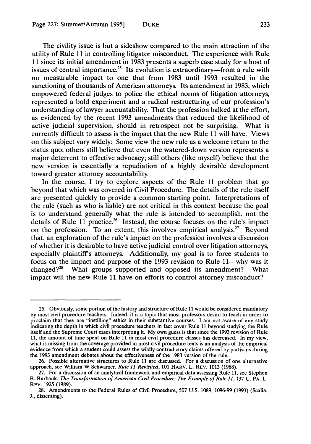The civility issue is but a sideshow compared to the main attraction of the utility of Rule **11** in controlling litigator misconduct. The experience with Rule **11** since its initial amendment in **1983** presents a superb case study for a host of issues of central importance.<sup>25</sup> Its evolution is extraordinary—from a rule with no measurable impact to one that from **1983** until **1993** resulted in the sanctioning of thousands of American attorneys. Its amendment in **1983,** which empowered federal judges to police the ethical norms of litigation attorneys, represented a bold experiment and a radical restructuring of our profession's understanding of lawyer accountability. That the profession balked at the effort, as evidenced **by** the recent **1993** amendments that reduced the likelihood of active judicial supervision, should in retrospect not be surprising. What is currently difficult to assess is the impact that the new Rule **11** will have. Views on this subject vary widely: Some view the new rule as a welcome return to the status quo; others still believe that even the watered-down version represents a major deterrent to effective advocacy; still others (like myself) believe that the new version is essentially a repudiation of a **highly** desirable development toward greater attorney accountability.

In the course, I try to explore aspects of the Rule **11** problem that go beyond that which was covered in Civil Procedure. The details of the rule itself are presented quickly to provide a common starting point. Interpretations of the rule (such as who is liable) are not critical in this context because the goal is to understand generally what the rule is intended to accomplish, not the details of Rule 11 practice.<sup>26</sup> Instead, the course focuses on the rule's impact on the profession. To an extent, this involves empirical analysis." Beyond that, an exploration of the rule's impact on the profession involves a discussion of whether it is desirable to have active judicial control over litigation attorneys, especially plaintiffs attorneys. Additionally, my goal is to force students to focus on the impact and purpose of the 1993 revision to Rule 11—why was it changed? $28$  What groups supported and opposed its amendment? What impact will the new Rule **11** have on efforts to control attorney misconduct?

**<sup>25.</sup>** Obviously, some portion of the history and structure of Rule **11** would be considered mandatory **by** most civil procedure teachers. Indeed, it is a topic that most professors desire to teach in order to proclaim that they are "instilling" ethics in their substantive courses. **I** am not aware of any study indicating the depth in which civil procedure teachers in fact cover Rule **11** beyond studying the Rule itself and the Supreme Court cases interpreting it. **My** own guess is that since the **1993** revision of Rule **11,** the amount of time spent on Rule **11** in most civil procedure classes has decreased. In my view, what is missing from the coverage provided in most civil procedure texts is an analysis of the empirical evidence from which a student could assess the wildly contradictory claims offered **by** partisans during the **1993** amendment debates about the effectiveness of the **1983** version of the rule.

**<sup>26.</sup>** Possible alternative structures to Rule **11** are discussed. For a discussion of one alternative approach, see William W Schwarzer, *Rule 11 Revisited,* **101** HARV. L. REV. **1013 (1988).**

**<sup>27.</sup>** For a discussion of an analytical framework and empirical data assessing Rule **11,** see Stephen B. Burbank, *The Transformation of American Civil Procedure: The Example of Rule 11, 137 U. PA. L.* REV. **1925 (1989).**

**<sup>28.</sup>** Amendments to the Federal Rules of Civil Procedure, **507 U.S. 1089, 1096-99 (1993)** (Scalia, **J.,** dissenting).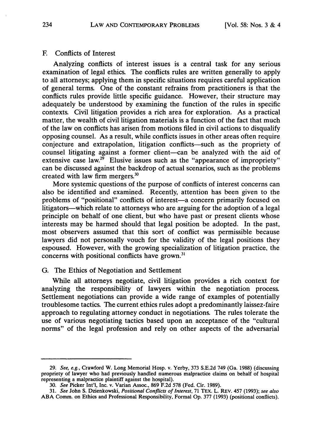#### F. Conflicts of Interest

Analyzing conflicts of interest issues is a central task for any serious examination of legal ethics. The conflicts rules are written generally to apply to all attorneys; applying them in specific situations requires careful application of general terms. One of the constant refrains from practitioners is that the conflicts rules provide little specific guidance. However, their structure may adequately be understood by examining the function of the rules in specific contexts. Civil litigation provides a rich area for exploration. As a practical matter, the wealth of civil litigation materials is a function of the fact that much of the law on conflicts has arisen from motions filed in civil actions to disqualify opposing counsel. As a result, while conflicts issues in other areas often require conjecture and extrapolation, litigation conflicts-such as the propriety of counsel litigating against a former client-can be analyzed with the aid of extensive case law.<sup>29</sup> Elusive issues such as the "appearance of impropriety" can be discussed against the backdrop of actual scenarios, such as the problems created with law firm mergers.<sup>30</sup>

More systemic questions of the purpose of conflicts of interest concerns can also be identified and examined. Recently, attention has been given to the problems of "positional" conflicts of interest—a concern primarily focused on litigators—which relate to attorneys who are arguing for the adoption of a legal principle on behalf of one client, but who have past or present clients whose interests may be harmed should that legal position be adopted. In the past, most observers assumed that this sort of conflict was permissible because lawyers did not personally vouch for the validity of the legal positions they espoused. However, with the growing specialization of litigation practice, the concerns with positional conflicts have grown.<sup>31</sup>

## G. The Ethics of Negotiation and Settlement

While all attorneys negotiate, civil litigation provides a rich context for analyzing the responsibility of lawyers within the negotiation process. Settlement negotiations can provide a wide range of examples of potentially troublesome tactics. The current ethics rules adopt a predominantly laissez-faire approach to regulating attorney conduct in negotiations. The rules tolerate the use of various negotiating tactics based upon an acceptance of the "cultural norms" of the legal profession and rely on other aspects of the adversarial

<sup>29.</sup> *See, e.g.,* Crawford W. Long Memorial Hosp. v. Yerby, 373 S.E.2d 749 (Ga. 1988) (discussing propriety of lawyer who had previously handled numerous malpractice claims on behalf of hospital representing a malpractice plaintiff against the hospital).

<sup>30.</sup> *See* Picker Int'l, Inc. v. Varian Assoc., 869 F.2d 578 (Fed. Cir. 1989).

<sup>31.</sup> *See* John S. Dzienkowski, *Positional Conflicts of Interest,* 71 TEX. L. REV. 457 (1993); *see also* ABA Comm. on Ethics and Professional Responsibility, Formal Op. 377 (1993) (positional conflicts).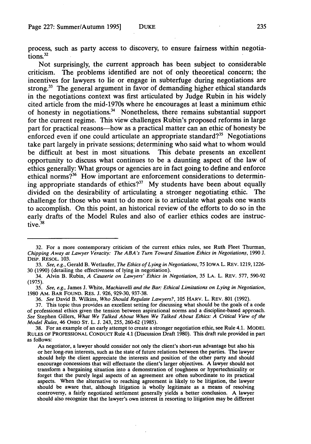process, such as party access to discovery, to ensure fairness within negotiations.<sup>32</sup>

Not surprisingly, the current approach has been subject to considerable criticism. The problems identified are not of only theoretical concern; the incentives for lawyers to lie or engage in subterfuge during negotiations are strong.<sup>33</sup> The general argument in favor of demanding higher ethical standards in the negotiations context was first articulated **by** Judge Rubin in his widely cited article from the mid-1970s where he encourages at least a minimum ethic of honesty in negotiations.<sup>34</sup> Nonetheless, there remains substantial support for the current regime. This view challenges Rubin's proposed reforms in large part for practical reasons-how as a practical matter can an ethic of honesty be enforced even if one could articulate an appropriate standard?<sup>35</sup> Negotiations take part largely in private sessions; determining who said what to whom would be difficult at best in most situations. This debate presents an excellent opportunity to discuss what continues to be a daunting aspect of the law of ethics generally: What groups or agencies are in fact going to define and enforce ethical norms?<sup>36</sup> How important are enforcement considerations to determining appropriate standards of ethics?<sup>37</sup> My students have been about equally divided on the desirability of articulating a stronger negotiating ethic. The challenge for those who want to do more is to articulate what goals one wants to accomplish. On this point, an historical review of the efforts to do so in the early drafts of the Model Rules and also of earlier ethics codes are instructive. $38$ 

<sup>32.</sup> For a more contemporary criticism of the current ethics rules, see Ruth Fleet Thurman, *Chipping Away at Lawyer Veracity: The ABA's Turn Toward Situation Ethics in Negotiations,* 1990 J. DIsP. RESOL. 103.

<sup>33.</sup> *See, e.g.,* Gerald B. Wetlaufer, *The Ethics of Lying in Negotiations,* 75 IOWA L. REV. 1219, 1226- 30 (1990) (detailing the effectiveness of lying in negotiation).

<sup>34.</sup> Alvin B. Rubin, *A Causerie on Lawyers' Ethics in Negotiation,* 35 LA. L. REV. 577, 590-92 (1975).

<sup>35.</sup> *See, e.g.,* James J. White, *Machiavelli and the Bar: Ethical Limitations on Lying in Negotiation,* 1980 AM. BAR FOUND. RES. J. 926, 929-30, 937-38.

<sup>36.</sup> *See* David B. Wilkins, *Who Should Regulate Lawyers?,* 105 HARV. L. REV. 801 (1992).

<sup>37.</sup> This topic thus provides an excellent setting for discussing what should be the goals of a code of professional ethics given the tension between aspirational norms and a discipline-based approach. *See* Stephen Gillers, *What We Talked About When We Talked About Ethics: A Critical View of the Model Rules,* 46 OHIO ST. L. J. 243, 255, 260-62 (1985).

<sup>38.</sup> For an example of an early attempt to create a stronger negotiation ethic, see Rule 4.1. MODEL RULES OF PROFESSIONAL CONDUCT Rule 4.1 (Discussion Draft **1980).** This draft rule provided in part as follows:

As negotiator, a lawyer should consider not only the client's short-run advantage but also his or her long-run interests, such as the state of future relations between the parties. The lawyer should help the client appreciate the interests and position of the other party and should encourage concessions that will effectuate the client's larger objectives. A lawyer should not transform a bargaining situation into a demonstration of toughness or hypertechnicality or forget that the purely legal aspects of an agreement are often subordinate to its practical aspects. When the alternative to reaching agreement is likely to be litigation, the lawyer should be aware that, although litigation is wholly legitimate as a means of resolving controversy, a fairly negotiated settlement generally yields a better conclusion. A lawyer should also recognize that the lawyer's own interest in resorting to litigation may be different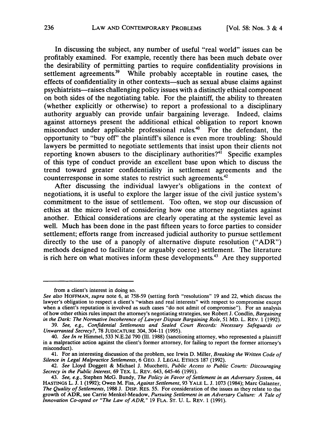In discussing the subject, any number of useful "real world" issues can be profitably examined. For example, recently there has been much debate over the desirability of permitting parties to require confidentiality provisions in settlement agreements.<sup>39</sup> While probably acceptable in routine cases, the effects of confidentiality in other contexts-such as sexual abuse claims against psychiatrists-raises challenging policy issues with a distinctly ethical component on both sides of the negotiating table. For the plaintiff, the ability to threaten (whether explicitly or otherwise) to report a professional to a disciplinary authority arguably can provide unfair bargaining leverage. Indeed, claims against attorneys present the additional ethical obligation to report known misconduct under applicable professional rules.<sup>40</sup> For the defendant, the opportunity to "buy off" the plaintiff's silence is even more troubling: Should lawyers be permitted to negotiate settlements that insist upon their clients not reporting known abusers to the disciplinary authorities?<sup>41</sup> Specific examples of this type of conduct provide an excellent base upon which to discuss the trend toward greater confidentiality in settlement agreements and the counterresponse in some states to restrict such agreements.<sup>42</sup>

After discussing the individual lawyer's obligations in the context of negotiations, it is useful to explore the larger issue of the civil justice system's commitment to the issue of settlement. Too often, we stop our discussion of ethics at the micro level of considering how one attorney negotiates against another. Ethical considerations are clearly operating at the systemic level as well. Much has been done in the past fifteen years to force parties to consider settlement; efforts range from increased judicial authority to pursue settlement directly to the use of a panoply of alternative dispute resolution ("ADR") methods designed to facilitate (or arguably coerce) settlement. The literature is rich here on what motives inform these developments.<sup>43</sup> Are they supported

from a client's interest in doing so.

*See also* **HOFFMAN,** *supra* note **6,** at **758-59** (setting forth "resolutions" **19** and 22, which discuss the lawyer's obligation to respect a client's "wishes and real interests" with respect to compromise except when a client's reputation is involved as such cases "do not admit of compromise"). For an analysis of how other ethics rules impact the attorney's negotiating strategies, see Robert **J.** Condlin, *Bargaining* in the Dark: The Normative Incoherence of Lawyer Dispute Bargaining Role, 51 MD. L. REV. 1 (1992).

<sup>39.</sup> *See, e.g., Confidential Settlements and Sealed Court Records: Necessary Safeguards or Unwarranted Secrecy?,* 78 **JUDICATURE** 304, 304-11 (1995).

*<sup>40.</sup> See In re* Himmel, 533 N.E.2d 790 (Ill. 1988) (sanctioning attorney, who represented a plaintiff in a malpractice action against the client's former attorney, for failing to report the former attorney's misconduct).

<sup>41.</sup> For an interesting discussion of the problem, see Irwin D. Miller, *Breaking the Written Code of Silence in Legal Malpractice Settlements,* 6 GEO. J. LEGAL ETHics 187 (1992).

<sup>42.</sup> *See* Lloyd Doggett **&** Michael **J.** Mucchetti, *Public Access to Public Courts: Discouraging Secrecy in the Public Interest,* 69 TEX. L. REV. 643, 645-46 (1991).

<sup>43.</sup> *See, e.g.,* Stephen McG. Bundy, *The Policy in Favor of Settlement in an Adversary System, 44* HASTINGS L. J. **1** (1992); Owen M. Fiss, *Against Settlement,* 93 YALE L. J. 1073 (1984); Marc Galanter, *The Quality of Settlements,* 1988 J. DisP. RES. 55. For consideration of the issues as they relate to the growth of ADR, see Carrie Menkel-Meadow, *Pursuing Settlement in an Adversary Culture: A Tale of Innovation Co-opted or "The Law of ADR,"* 19 FLA. ST. U. L. REV. 1 (1991).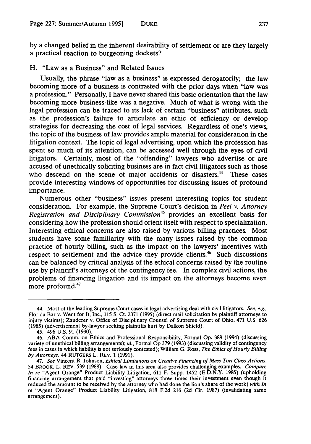**by** a changed belief in the inherent desirability of settlement or are they largely a practical reaction to burgeoning dockets?

## H. "Law as a Business" and Related Issues

Usually, the phrase "law as a business" is expressed derogatorily; the law becoming more of a business is contrasted with the prior days when "law was a profession." Personally, I have never shared this basic orientation that the law becoming more business-like was a negative. Much of what is wrong with the legal profession can be traced to its lack of certain "business" attributes, such as the profession's failure to articulate an ethic of efficiency or develop strategies for decreasing the cost of legal services. Regardless of one's views, the topic of the business of law provides ample material for consideration in the litigation context. The topic of legal advertising, upon which the profession has spent so much of its attention, can be accessed well through the eyes of civil litigators. Certainly, most of the "offending" lawyers who advertise or are accused of unethically soliciting business are in fact civil litigators such as those who descend on the scene of major accidents or disasters.<sup>44</sup> These cases provide interesting windows of opportunities for discussing issues of profound importance.

Numerous other "business" issues present interesting topics for student consideration. For example, the Supreme Court's decision in *Peel v. Attorney Registration and Disciplinary Commission"5* provides an excellent basis for considering how the profession should orient itself with respect to specialization. Interesting ethical concerns are also raised **by** various billing practices. Most students have some familiarity with the many issues raised **by** the common practice of hourly billing, such as the impact on the lawyers' incentives with respect to settlement and the advice they provide clients.<sup>46</sup> Such discussions can be balanced **by** critical analysis of the ethical concerns raised **by** the routine use **by** plaintiff's attorneys of the contingency fee. In complex civil actions, the problems of financing litigation and its impact on the attorneys become even more profound.<sup>47</sup>

<sup>44.</sup> Most of the leading Supreme Court cases in legal advertising deal with civil litigators. *See, e.g.,* Florida Bar v. Went for It, Inc., **115 S.** Ct. **2371 (1995)** (direct mail solicitation **by** plaintiff attorneys to injury victims); Zauderer v. Office of Disciplinary Counsel of Supreme Court of Ohio, 471 **U.S. 626 (1985)** (advertisement **by** lawyer seeking plaintiffs hurt **by** Dalkon Shield).

<sup>45. 496</sup> **U.S. 91 (1990).**

<sup>46.</sup> **ABA** Comm. on Ethics and Professional Responsibility, Formal **Op. 389** (1994) (discussing variety of unethical billing arrangements); *id.,* Formal **Op 379 (1993)** (discussing validity of contingency fees in cases in which liability is not seriously contested); William **G.** Ross, *The Ethics of Hourly Billing by Attorneys,* 44 RUTGERS L. REV. **1 (1991).**

<sup>47.</sup> *See* Vincent R. Johnson, *Ethical Limitations on Creative Financing of Mass Tort Class Actions,* 54 BROOK. L. REV. **539 (1988).** Case law in this area also provides challenging examples. *Compare In re* "Agent Orange" Product Liability Litigation, **611** F. Supp. 1452 **(E.D.N.Y. 1985)** (upholding financing arrangement that paid "investing" attorneys three times their investment even though it reduced the amount to be received **by** the attorney who had done the lion's share of the work) *with In re* "Agent Orange" Product Liability Litigation, **818 F.2d 216 (2d** Cir. **1987)** (invalidating same arrangement).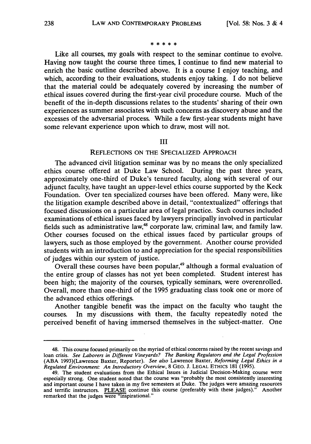#### \* \* \* \* \*

Like all courses, my goals with respect to the seminar continue to evolve. Having now taught the course three times, I continue to find new material to enrich the basic outline described above. It is a course I enjoy teaching, and which, according to their evaluations, students enjoy taking. I do not believe that the material could be adequately covered by increasing the number of ethical issues covered during the first-year civil procedure course. Much of the benefit of the in-depth discussions relates to the students' sharing of their own experiences as summer associates with such concerns as discovery abuse and the excesses of the adversarial process. While a few first-year students might have some relevant experience upon which to draw, most will not.

#### III

#### REFLECTIONS **ON** THE SPECIALIZED APPROACH

The advanced civil litigation seminar was by no means the only specialized ethics course offered at Duke Law School. During the past three years, approximately one-third of Duke's tenured faculty, along with several of our adjunct faculty, have taught an upper-level ethics course supported by the Keck Foundation. Over ten specialized courses have been offered. Many were, like the litigation example described above in detail, "contextualized" offerings that focused discussions on a particular area of legal practice. Such courses included examinations of ethical issues faced by lawyers principally involved in particular fields such as administrative law, $48$  corporate law, criminal law, and family law. Other courses focused on the ethical issues faced by particular groups of lawyers, such as those employed by the government. Another course provided students with an introduction to and appreciation for the special responsibilities of judges within our system of justice.

Overall these courses have been popular,<sup>49</sup> although a formal evaluation of the entire group of classes has not yet been completed. Student interest has been high; the majority of the courses, typically seminars, were overenrolled. Overall, more than one-third of the 1995 graduating class took one or more of the advanced ethics offerings.

Another tangible benefit was the impact on the faculty who taught the courses. In my discussions with them, the faculty repeatedly noted the perceived benefit of having immersed themselves in the subject-matter. One

<sup>48.</sup> This course focused primarily on the myriad of ethical concerns raised by the recent savings and loan crisis. *See Laborers in Different Vineyards? The Banking Regulators and the Legal Profession* (ABA 1993)(Lawrence Baxter, Reporter). *See also* Lawrence Baxter, *Reforming Legal Ethics in a Regulated Environment: An Introductory Overview,* 8 GEO. **J. LEGAL ETHICS** 181 (1995).

<sup>49.</sup> The student evaluations from the Ethical Issues in Judicial Decision-Making course were especially strong. One student noted that the course was "probably the most consistently interesting and important course I have taken in my five semesters at Duke. The judges were amazing resources and terrific instructors. PLEASE continue this course (preferably with these judges)." Another and terrific instructors. PLEASE continue this course (preferably with these judges)." remarked that the judges were "inspirational."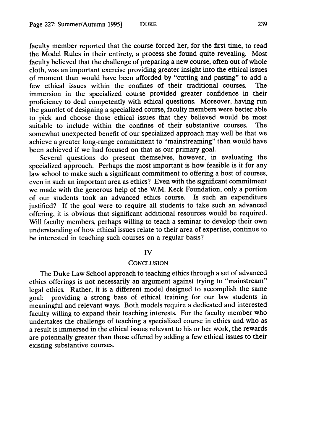faculty member reported that the course forced her, for the first time, to read the Model Rules in their entirety, a process she found quite revealing. Most faculty believed that the challenge of preparing a new course, often out of whole cloth, was an important exercise providing greater insight into the ethical issues of moment than would have been afforded by "cutting and pasting" to add a few ethical issues within the confines of their traditional courses. The immersion in the specialized course provided greater confidence in their proficiency to deal competently with ethical questions. Moreover, having run the gauntlet of designing a specialized course, faculty members were better able to pick and choose those ethical issues that they believed would be most suitable to include within the confines of their substantive courses. The somewhat unexpected benefit of our specialized approach may well be that we achieve a greater long-range commitment to "mainstreaming" than would have been achieved if we had focused on that as our primary goal.

Several questions do present themselves, however, in evaluating the specialized approach. Perhaps the most important is how feasible is it for any law school to make such a significant commitment to offering a host of courses, even in such an important area as ethics? Even with the significant commitment we made with the generous help of the W.M. Keck Foundation, only a portion of our students took an advanced ethics course. Is such an expenditure justified? If the goal were to require all students to take such an advanced offering, it is obvious that significant additional resources would be required. Will faculty members, perhaps willing to teach a seminar to develop their own understanding of how ethical issues relate to their area of expertise, continue to be interested in teaching such courses on a regular basis?

#### IV

#### **CONCLUSION**

The Duke Law School approach to teaching ethics through a set of advanced ethics offerings is not necessarily an argument against trying to "mainstream" legal ethics. Rather, it is a different model designed to accomplish the same goal: providing a strong base of ethical training for our law students in meaningful and relevant ways. Both models require a dedicated and interested faculty willing to expand their teaching interests. For the faculty member who undertakes the challenge of teaching a specialized course in ethics and who as a result is immersed in the ethical issues relevant to his or her work, the rewards are potentially greater than those offered by adding a few ethical issues to their existing substantive courses.